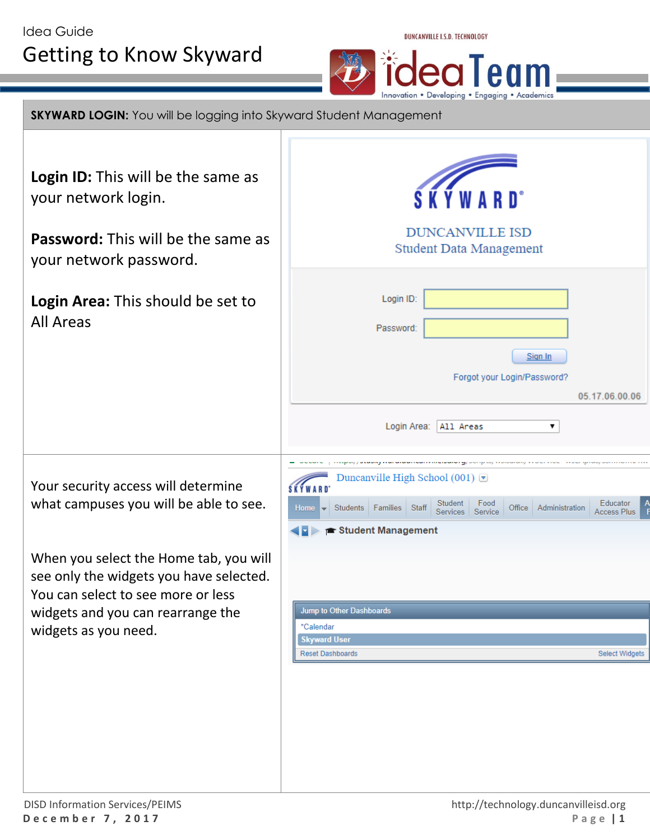



**SKYWARD LOGIN:** You will be logging into Skyward Student Management

Login ID: This will be the same as your network login.

**Password:** This will be the same as your network password.

**Login Area:** This should be set to All Areas

Your security access will determine what campuses you will be able to see.

When you select the Home tab, you will see only the widgets you have selected. You can select to see more or less widgets and you can rearrange the widgets as you need.

| <b>SKYWARD</b> <sup>*</sup>                                                                                        |                                     |  |  |  |
|--------------------------------------------------------------------------------------------------------------------|-------------------------------------|--|--|--|
| <b>DUNCANVILLE ISD</b><br><b>Student Data Management</b>                                                           |                                     |  |  |  |
| Login ID:<br>Password:<br>Sign In<br>Forgot your Login/Password?                                                   | 05.17.06.00.06                      |  |  |  |
| Login Area:<br>All Areas<br>۷.<br>y ji waawayna<br>Duncanville High School (001) $\Box$                            |                                     |  |  |  |
| Student<br>Food<br>Students<br>Administration<br>Families<br><b>Staff</b><br>Office<br>Home<br>Services<br>Service | Educator<br>Α<br><b>Access Plus</b> |  |  |  |
| ▶ <b>■ Student Management</b>                                                                                      |                                     |  |  |  |
| <b>Jump to Other Dashboards</b>                                                                                    |                                     |  |  |  |
| *Calendar<br><b>Skyward User</b><br><b>Reset Dashboards</b>                                                        | <b>Select Widgets</b>               |  |  |  |
|                                                                                                                    |                                     |  |  |  |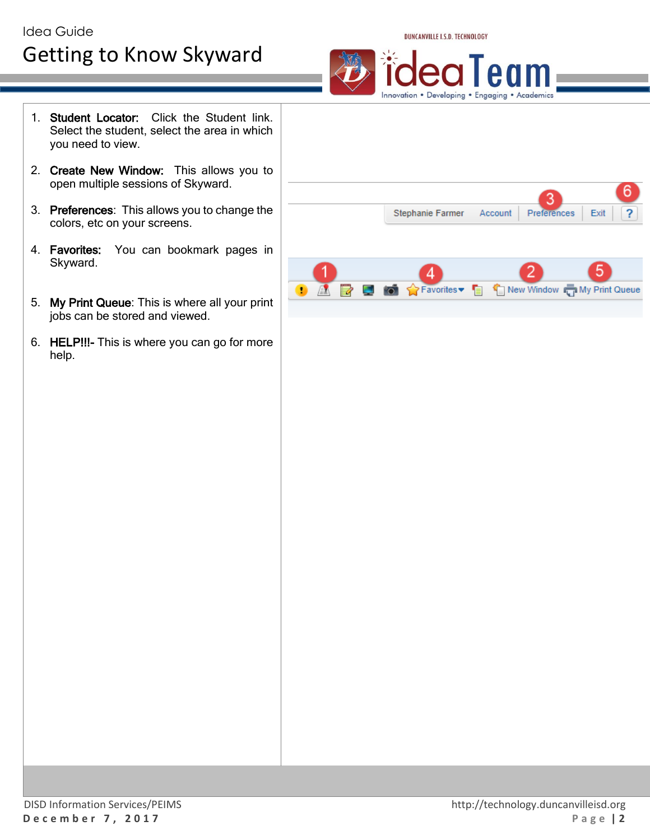

egler

Innovation . Developing . Engaging . Academics



- 2. Create New Window: This allows you to open multiple sessions of Skyward.
- 3. Preferences: This allows you to change the colors, etc on your screens.
- 4. Favorites: You can bookmark pages in Skyward.
- 5. My Print Queue: This is where all your print jobs can be stored and viewed.
- 6. HELP!!!- This is where you can go for more help.

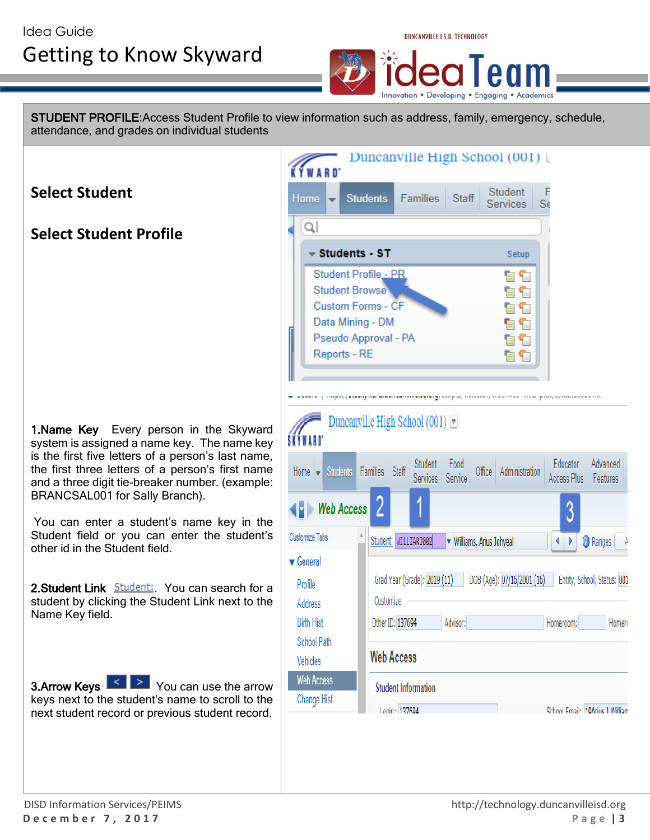

STUDENT PROFILE:Access Student Profile to view information such as address, family, emergency, schedule, attendance, and grades on individual students

Duncanville High School (001) | **KYWARD Select Student** Student Home **Students** Families **Staff** Services  $S_6$  $\Omega$ **Select Student Profile**  $\overline{\phantom{a}}$  Students - ST Setup Student Profile \_\_ PR 自行 **Student Browse** 自令 Custom Forms - CF 自令 Data Mining - DM 自令 Pseudo Approval - PA 自令 Reports - RE 自们 e podero program poder prenanden na moral de la programma programma processo presi programmato en in Duncanville High School (001)  $\blacktriangledown$ 1. Name Key Every person in the Skyward SKÝWARD system is assigned a name key. The name key is the first five letters of a person's last name, Educator | Advanced Student || Food the first three letters of a person's first name Home  $\blacktriangleright$  Students Families Staff Office | Administration Services Service Access Plus | Features and a three digit tie-breaker number. (example: BRANCSAL001 for Sally Branch).  $\blacktriangleright$  Web Access 3 You can enter a student's name key in the Student field or you can enter the student's **Customize Tabs** Student: WILLIARI002 **V** Williams, Arius Johyeal ◆▶ **Ranges** other id in the Student field.  $\blacktriangledown$  General Grad Year (Grade): 2019 (11) Profile 2. Student Link **Student:** You can search for a student by clicking the Student Link next to the Customize Address Name Key field. Other ID: 137694 **Birth Hist** Advisor: Homeroom: Homero School Path **Web Access** Vehicles **Web Access 3.Arrow Keys**  $\leq$  $\geq$  You can use the arrow **Student Information** keys next to the student's name to scroll to the Change Hist Login: 137604 School Email: 10Arius 1 William next student record or previous student record.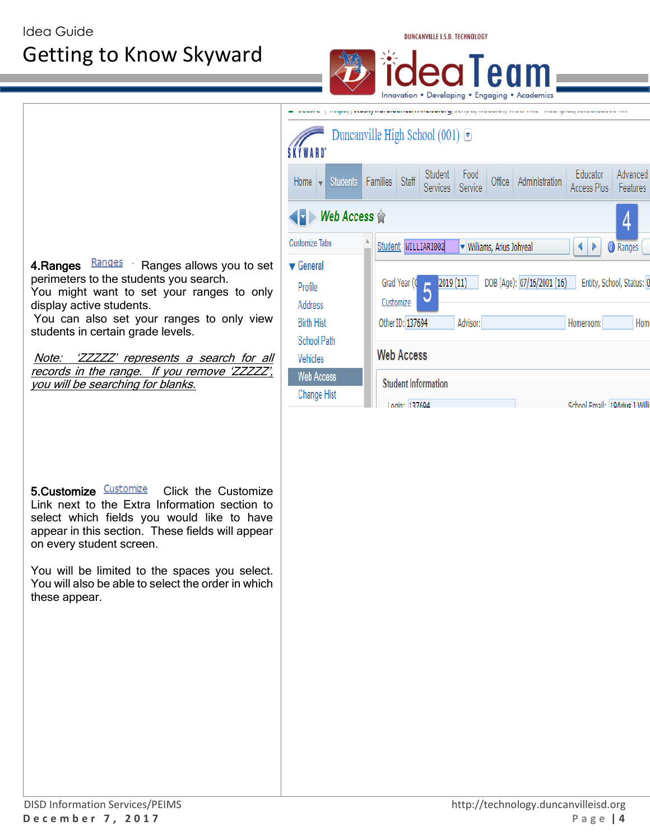DUNCANVILLE I.S.D. TECHNOLOGY



Link next to the Extra Information section to select which fields you would like to have appear in this section. These fields will appear on every student screen.

You will be limited to the spaces you select. You will also be able to select the order in which these appear.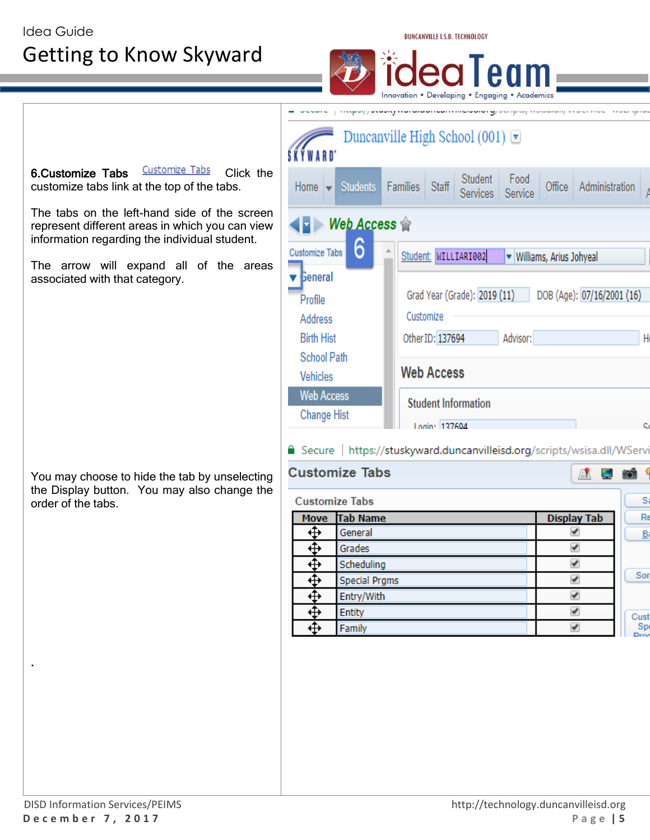DUNCANVILLE I.S.D. TECHNOLOGY

Student: WILLIARI002

Customize

Other ID: 137694

**Web Access** 

**Student Information** 

Secure | https://stuskyward.duncanvilleisd.org/scripts/wsisa.dll/WServi

Login: 137604

Grad Year (Grade): 2019 (11)

Food

Service

Advisor:

v Williams, Arius Johyeal

Office | Administration

DOB (Age): 07/16/2001 (16)

A E

Innovation . Developing . Engaging . Academics processing personal construction of the construction of the second construction of the Duncanville High School (001)  $\overline{\triangledown}$ 6.Customize Tabs **Customize Tabs** Click the Student customize tabs link at the top of the tabs. Home | **Students** Families **Staff Services** 

 $\blacktriangleright$  Web Access  $\triangle$ 

6

Customize Tabs

**General** 

Profile

**Address Birth Hist** 

Vehicles **Web Access** 

**School Path** 

**Change Hist** 

**Customize Tabs** 

**Customize Tabs** 

**Move** 

⊕

⊕

⊕ ⊕

 $\overline{\mathbf{\hat{\pm}}}$ 

⊕

⊕

The tabs on the left-hand side of the screen represent different areas in which you can view information regarding the individual student.

The arrow will expand all of the areas associated with that category.

You may choose to hide the tab by unselecting the Display button. You may also change the order of the tabs.

| <b>Tab Name</b>      | <b>Display Tab</b>   | Re                 |
|----------------------|----------------------|--------------------|
| General              | ✔                    | B                  |
| Grades               | ✔                    |                    |
| Scheduling           | ✔                    |                    |
| <b>Special Prgms</b> | $\blacktriangledown$ | Sor                |
| Entry/With           | ✔                    |                    |
| <b>Entity</b>        | ✔                    | Cust               |
| Family               | ✔                    | Spi<br><b>Iros</b> |
|                      |                      |                    |
|                      |                      |                    |
|                      |                      |                    |
|                      |                      |                    |
|                      |                      |                    |
|                      |                      |                    |
|                      |                      |                    |
|                      |                      |                    |

.